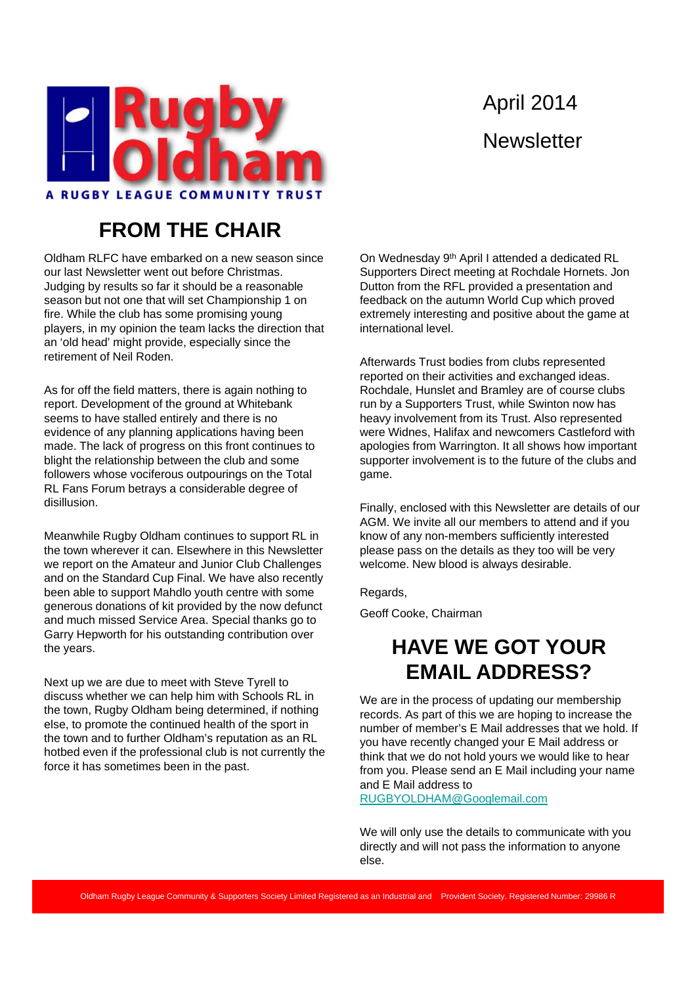

# April 2014 **Newsletter**

#### **FROM THE CHAIR**

Oldham RLFC have embarked on a new season since our last Newsletter went out before Christmas. Judging by results so far it should be a reasonable season but not one that will set Championship 1 on fire. While the club has some promising young players, in my opinion the team lacks the direction that an 'old head' might provide, especially since the retirement of Neil Roden.

As for off the field matters, there is again nothing to report. Development of the ground at Whitebank seems to have stalled entirely and there is no evidence of any planning applications having been made. The lack of progress on this front continues to blight the relationship between the club and some followers whose vociferous outpourings on the Total RL Fans Forum betrays a considerable degree of disillusion.

Meanwhile Rugby Oldham continues to support RL in the town wherever it can. Elsewhere in this Newsletter we report on the Amateur and Junior Club Challenges and on the Standard Cup Final. We have also recently been able to support Mahdlo youth centre with some generous donations of kit provided by the now defunct and much missed Service Area. Special thanks go to Garry Hepworth for his outstanding contribution over the years.

Next up we are due to meet with Steve Tyrell to discuss whether we can help him with Schools RL in the town, Rugby Oldham being determined, if nothing else, to promote the continued health of the sport in the town and to further Oldham's reputation as an RL hotbed even if the professional club is not currently the force it has sometimes been in the past.

On Wednesday 9th April I attended a dedicated RL Supporters Direct meeting at Rochdale Hornets. Jon Dutton from the RFL provided a presentation and feedback on the autumn World Cup which proved extremely interesting and positive about the game at international level.

Afterwards Trust bodies from clubs represented reported on their activities and exchanged ideas. Rochdale, Hunslet and Bramley are of course clubs run by a Supporters Trust, while Swinton now has heavy involvement from its Trust. Also represented were Widnes, Halifax and newcomers Castleford with apologies from Warrington. It all shows how important supporter involvement is to the future of the clubs and game.

Finally, enclosed with this Newsletter are details of our AGM. We invite all our members to attend and if you know of any non-members sufficiently interested please pass on the details as they too will be very welcome. New blood is always desirable.

Regards,

Geoff Cooke, Chairman

#### **HAVE WE GOT YOUR EMAIL ADDRESS?**

We are in the process of updating our membership records. As part of this we are hoping to increase the number of member's E Mail addresses that we hold. If you have recently changed your E Mail address or think that we do not hold yours we would like to hear from you. Please send an E Mail including your name and E Mail address to

RUGBYOLDHAM@Googlemail.com

We will only use the details to communicate with you directly and will not pass the information to anyone else.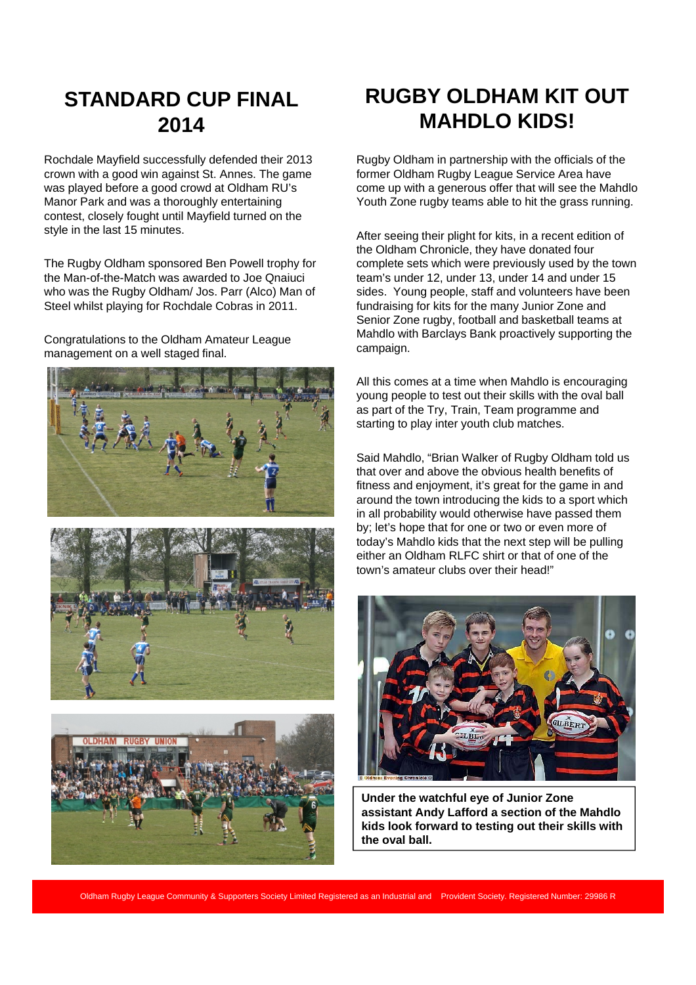#### **STANDARD CUP FINAL 2014**

Rochdale Mayfield successfully defended their 2013 crown with a good win against St. Annes. The game was played before a good crowd at Oldham RU's Manor Park and was a thoroughly entertaining contest, closely fought until Mayfield turned on the style in the last 15 minutes.

The Rugby Oldham sponsored Ben Powell trophy for the Man-of-the-Match was awarded to Joe Qnaiuci who was the Rugby Oldham/ Jos. Parr (Alco) Man of Steel whilst playing for Rochdale Cobras in 2011.

Congratulations to the Oldham Amateur League management on a well staged final.







## **RUGBY OLDHAM KIT OUT MAHDLO KIDS!**

Rugby Oldham in partnership with the officials of the former Oldham Rugby League Service Area have come up with a generous offer that will see the Mahdlo Youth Zone rugby teams able to hit the grass running.

After seeing their plight for kits, in a recent edition of the Oldham Chronicle, they have donated four complete sets which were previously used by the town team's under 12, under 13, under 14 and under 15 sides. Young people, staff and volunteers have been fundraising for kits for the many Junior Zone and Senior Zone rugby, football and basketball teams at Mahdlo with Barclays Bank proactively supporting the campaign.

All this comes at a time when Mahdlo is encouraging young people to test out their skills with the oval ball as part of the Try, Train, Team programme and starting to play inter youth club matches.

Said Mahdlo, "Brian Walker of Rugby Oldham told us that over and above the obvious health benefits of fitness and enjoyment, it's great for the game in and around the town introducing the kids to a sport which in all probability would otherwise have passed them by; let's hope that for one or two or even more of today's Mahdlo kids that the next step will be pulling either an Oldham RLFC shirt or that of one of the town's amateur clubs over their head!"



**Under the watchful eye of Junior Zone assistant Andy Lafford a section of the Mahdlo kids look forward to testing out their skills with the oval ball.**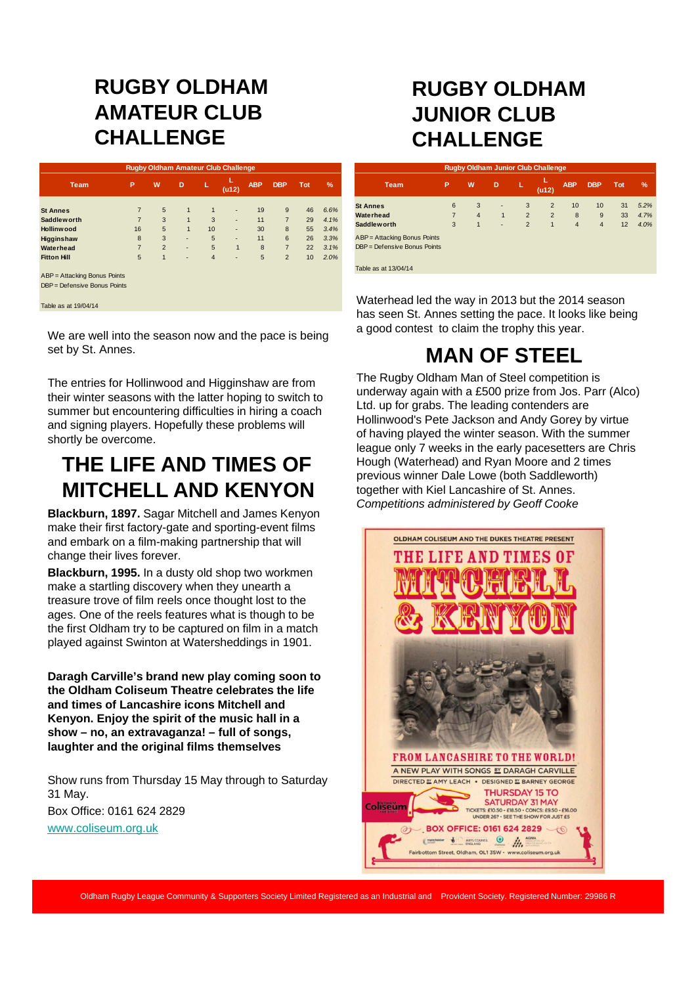### **RUGBY OLDHAM AMATEUR CLUB CHALLENGE**

| <b>Rugby Oldham Amateur Club Challenge</b> |                |                |              |                |              |            |                |            |      |  |
|--------------------------------------------|----------------|----------------|--------------|----------------|--------------|------------|----------------|------------|------|--|
| <b>Team</b>                                | P              | W              | D            | г.             | (u12)        | <b>ABP</b> | <b>DBP</b>     | <b>Tot</b> | $\%$ |  |
|                                            |                |                |              |                |              |            |                |            |      |  |
| <b>St Annes</b>                            | $\overline{7}$ | 5              | $\mathbf{1}$ | $\mathbf{1}$   | ٠            | 19         | 9              | 46         | 6.6% |  |
| <b>Saddleworth</b>                         | $\overline{7}$ | 3              | $\mathbf{1}$ | 3              | ٠            | 11         | $\overline{7}$ | 29         | 4.1% |  |
| <b>Hollinwood</b>                          | 16             | 5              | $\mathbf{1}$ | 10             | ٠            | 30         | 8              | 55         | 3.4% |  |
| <b>Higginshaw</b>                          | 8              | 3              | ٠            | 5              | ٠            | 11         | 6              | 26         | 3.3% |  |
| Waterhead                                  | $\overline{7}$ | $\overline{2}$ | ٠            | 5              | $\mathbf{1}$ | 8          | $\overline{7}$ | 22         | 3.1% |  |
| <b>Fitton Hill</b>                         | 5              | $\mathbf{1}$   | ٠            | $\overline{4}$ | ٠            | 5          | $\overline{2}$ | 10         | 2.0% |  |
| ABP = Attacking Bonus Points               |                |                |              |                |              |            |                |            |      |  |
| DBP = Defensive Bonus Points               |                |                |              |                |              |            |                |            |      |  |
| Table as at 19/04/14                       |                |                |              |                |              |            |                |            |      |  |

We are well into the season now and the pace is being set by St. Annes.

The entries for Hollinwood and Higginshaw are from their winter seasons with the latter hoping to switch to summer but encountering difficulties in hiring a coach and signing players. Hopefully these problems will shortly be overcome.

#### **THE LIFE AND TIMES OF MITCHELL AND KENYON**

**Blackburn, 1897.** Sagar Mitchell and James Kenyon make their first factory-gate and sporting-event films and embark on a film-making partnership that will change their lives forever.

**Blackburn, 1995.** In a dusty old shop two workmen make a startling discovery when they unearth a treasure trove of film reels once thought lost to the ages. One of the reels features what is though to be the first Oldham try to be captured on film in a match played against Swinton at Watersheddings in 1901.

**Daragh Carville's brand new play coming soon to the Oldham Coliseum Theatre celebrates the life and times of Lancashire icons Mitchell and Kenyon. Enjoy the spirit of the music hall in a show – no, an extravaganza! – full of songs, laughter and the original films themselves**

Show runs from Thursday 15 May through to Saturday 31 May. Box Office: 0161 624 2829 www.coliseum.org.uk

### **RUGBY OLDHAM JUNIOR CLUB CHALLENGE**

| <b>Rugby Oldham Junior Club Challenge</b> |                |                |              |                |                |                |                |            |      |  |
|-------------------------------------------|----------------|----------------|--------------|----------------|----------------|----------------|----------------|------------|------|--|
| <b>Team</b>                               | P              | W              | D            | L              | (u12)          | <b>ABP</b>     | <b>DBP</b>     | <b>Tot</b> | %    |  |
| <b>St Annes</b>                           | 6              | 3              | ٠            | 3              | 2              | 10             | 10             | 31         | 5.2% |  |
| Waterhead                                 | $\overline{7}$ | $\overline{4}$ | $\mathbf{1}$ | $\overline{2}$ | $\overline{2}$ | 8              | 9              | 33         | 4.7% |  |
| Saddlew orth                              | 3              | 1              | ٠            | $\overline{2}$ | $\mathbf{1}$   | $\overline{4}$ | $\overline{4}$ | 12         | 4.0% |  |
| ABP = Attacking Bonus Points              |                |                |              |                |                |                |                |            |      |  |
| DBP = Defensive Bonus Points              |                |                |              |                |                |                |                |            |      |  |
| Table as at 13/04/14                      |                |                |              |                |                |                |                |            |      |  |

Waterhead led the way in 2013 but the 2014 season has seen St. Annes setting the pace. It looks like being a good contest to claim the trophy this year.

# **MAN OF STEEL**

The Rugby Oldham Man of Steel competition is underway again with a £500 prize from Jos. Parr (Alco) Ltd. up for grabs. The leading contenders are Hollinwood's Pete Jackson and Andy Gorey by virtue of having played the winter season. With the summer league only 7 weeks in the early pacesetters are Chris Hough (Waterhead) and Ryan Moore and 2 times previous winner Dale Lowe (both Saddleworth) together with Kiel Lancashire of St. Annes. *Competitions administered by Geoff Cooke*